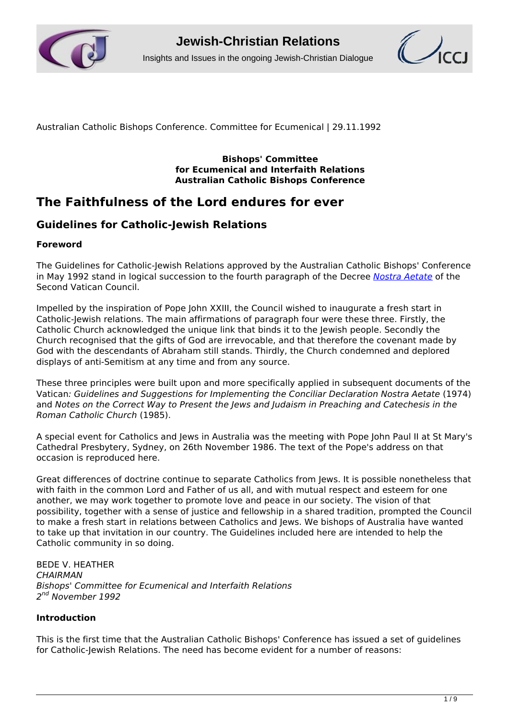



Australian Catholic Bishops Conference. Committee for Ecumenical | 29.11.1992

**Bishops' Committee for Ecumenical and Interfaith Relations Australian Catholic Bishops Conference**

# **The Faithfulness of the Lord endures for ever**

# **Guidelines for Catholic-Jewish Relations**

# **Foreword**

The Guidelines for Catholic-Jewish Relations approved by the Australian Catholic Bishops' Conference in May 1992 stand in logical succession to the fourth paragraph of the Decree *Nostra Aetate* of the Second Vatican Council.

Impelled by the inspiration of Pope John XXIII, the Council wished to inaugurate a fresh start in Catholic-Jewish relations. The main affirmations of paragraph four were these three. Firstly, the Catholic Church acknowledged the unique link that binds it to the Jewish people. Secondly the Church recognised that the gifts of God are irrevocable, and that therefore the covenant made by God with the descendants of Abraham still stands. Thirdly, the Church condemned and deplored displays of anti-Semitism at any time and from any source.

These three principles were built upon and more specifically applied in subsequent documents of the Vatican*: Guidelines and Suggestions for Implementing the Conciliar Declaration Nostra Aetate* (1974) and *Notes on the Correct Way to Present the Jews and Judaism in Preaching and Catechesis in the Roman Catholic Church* (1985).

A special event for Catholics and Jews in Australia was the meeting with Pope John Paul II at St Mary's Cathedral Presbytery, Sydney, on 26th November 1986. The text of the Pope's address on that occasion is reproduced here.

Great differences of doctrine continue to separate Catholics from Jews. It is possible nonetheless that with faith in the common Lord and Father of us all, and with mutual respect and esteem for one another, we may work together to promote love and peace in our society. The vision of that possibility, together with a sense of justice and fellowship in a shared tradition, prompted the Council to make a fresh start in relations between Catholics and Jews. We bishops of Australia have wanted to take up that invitation in our country. The Guidelines included here are intended to help the Catholic community in so doing.

BEDE V. HEATHER *CHAIRMAN Bishops' Committee for Ecumenical and Interfaith Relations 2 nd November 1992*

# **Introduction**

This is the first time that the Australian Catholic Bishops' Conference has issued a set of guidelines for Catholic-Jewish Relations. The need has become evident for a number of reasons: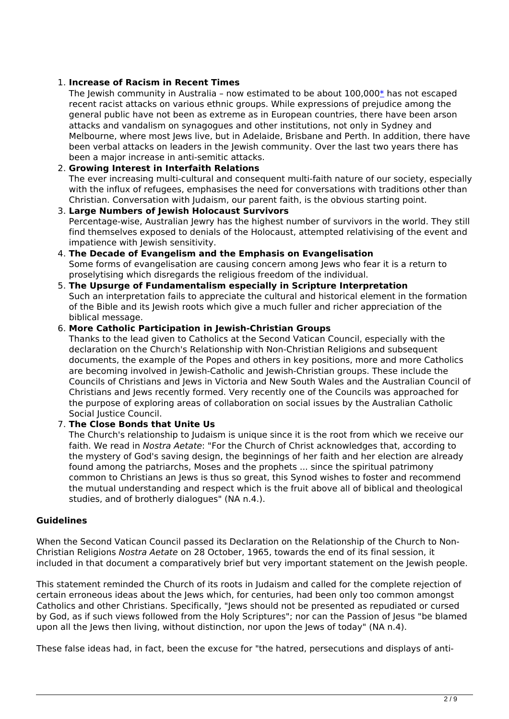# 1. **Increase of Racism in Recent Times**

The Jewish community in Australia – now estimated to be about  $100.000*$  has not escaped recent racist attacks on various ethnic groups. While expressions of prejudice among the general public have not been as extreme as in European countries, there have been arson attacks and vandalism on synagogues and other institutions, not only in Sydney and Melbourne, where most Jews live, but in Adelaide, Brisbane and Perth. In addition, there have been verbal attacks on leaders in the Jewish community. Over the last two years there has been a major increase in anti-semitic attacks.

# 2. **Growing Interest in Interfaith Relations**

The ever increasing multi-cultural and consequent multi-faith nature of our society, especially with the influx of refugees, emphasises the need for conversations with traditions other than Christian. Conversation with Judaism, our parent faith, is the obvious starting point.

- 3. **Large Numbers of Jewish Holocaust Survivors** Percentage-wise, Australian Jewry has the highest number of survivors in the world. They still find themselves exposed to denials of the Holocaust, attempted relativising of the event and impatience with Jewish sensitivity.
- 4. **The Decade of Evangelism and the Emphasis on Evangelisation** Some forms of evangelisation are causing concern among Jews who fear it is a return to proselytising which disregards the religious freedom of the individual.
- 5. **The Upsurge of Fundamentalism especially in Scripture Interpretation** Such an interpretation fails to appreciate the cultural and historical element in the formation of the Bible and its Jewish roots which give a much fuller and richer appreciation of the biblical message.

# 6. **More Catholic Participation in Jewish-Christian Groups**

Thanks to the lead given to Catholics at the Second Vatican Council, especially with the declaration on the Church's Relationship with Non-Christian Religions and subsequent documents, the example of the Popes and others in key positions, more and more Catholics are becoming involved in Jewish-Catholic and Jewish-Christian groups. These include the Councils of Christians and Jews in Victoria and New South Wales and the Australian Council of Christians and Jews recently formed. Very recently one of the Councils was approached for the purpose of exploring areas of collaboration on social issues by the Australian Catholic Social Justice Council.

# 7. **The Close Bonds that Unite Us**

The Church's relationship to Judaism is unique since it is the root from which we receive our faith. We read in *Nostra Aetate*: "For the Church of Christ acknowledges that, according to the mystery of God's saving design, the beginnings of her faith and her election are already found among the patriarchs, Moses and the prophets ... since the spiritual patrimony common to Christians an Jews is thus so great, this Synod wishes to foster and recommend the mutual understanding and respect which is the fruit above all of biblical and theological studies, and of brotherly dialogues" (NA n.4.).

# **Guidelines**

When the Second Vatican Council passed its Declaration on the Relationship of the Church to Non-Christian Religions *Nostra Aetate* on 28 October, 1965, towards the end of its final session, it included in that document a comparatively brief but very important statement on the Jewish people.

This statement reminded the Church of its roots in Judaism and called for the complete rejection of certain erroneous ideas about the Jews which, for centuries, had been only too common amongst Catholics and other Christians. Specifically, "Jews should not be presented as repudiated or cursed by God, as if such views followed from the Holy Scriptures"; nor can the Passion of Jesus "be blamed upon all the Jews then living, without distinction, nor upon the Jews of today" (NA n.4).

These false ideas had, in fact, been the excuse for "the hatred, persecutions and displays of anti-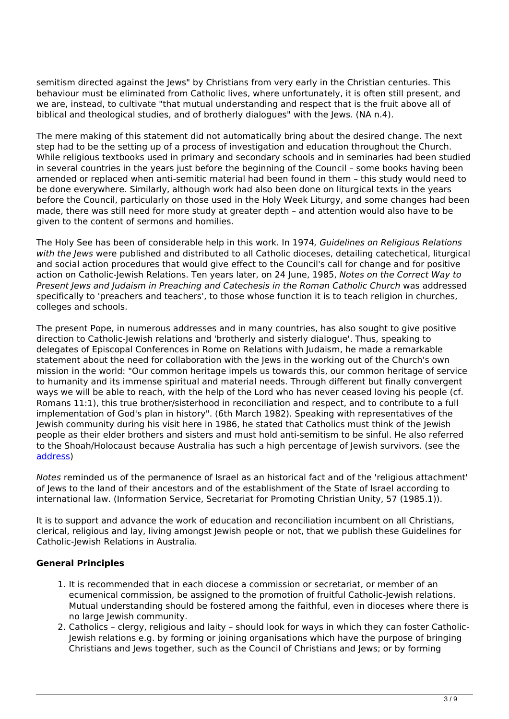semitism directed against the Jews" by Christians from very early in the Christian centuries. This behaviour must be eliminated from Catholic lives, where unfortunately, it is often still present, and we are, instead, to cultivate "that mutual understanding and respect that is the fruit above all of biblical and theological studies, and of brotherly dialogues" with the Jews. (NA n.4).

The mere making of this statement did not automatically bring about the desired change. The next step had to be the setting up of a process of investigation and education throughout the Church. While religious textbooks used in primary and secondary schools and in seminaries had been studied in several countries in the years just before the beginning of the Council – some books having been amended or replaced when anti-semitic material had been found in them – this study would need to be done everywhere. Similarly, although work had also been done on liturgical texts in the years before the Council, particularly on those used in the Holy Week Liturgy, and some changes had been made, there was still need for more study at greater depth – and attention would also have to be given to the content of sermons and homilies.

The Holy See has been of considerable help in this work. In 1974*, Guidelines on Religious Relations with the Jews* were published and distributed to all Catholic dioceses, detailing catechetical, liturgical and social action procedures that would give effect to the Council's call for change and for positive action on Catholic-Jewish Relations. Ten years later, on 24 June, 1985, *Notes on the Correct Way to Present Jews and Judaism in Preaching and Catechesis in the Roman Catholic Church* was addressed specifically to 'preachers and teachers', to those whose function it is to teach religion in churches, colleges and schools.

The present Pope, in numerous addresses and in many countries, has also sought to give positive direction to Catholic-Jewish relations and 'brotherly and sisterly dialogue'. Thus, speaking to delegates of Episcopal Conferences in Rome on Relations with Judaism, he made a remarkable statement about the need for collaboration with the Jews in the working out of the Church's own mission in the world: "Our common heritage impels us towards this, our common heritage of service to humanity and its immense spiritual and material needs. Through different but finally convergent ways we will be able to reach, with the help of the Lord who has never ceased loving his people (cf. Romans 11:1), this true brother/sisterhood in reconciliation and respect, and to contribute to a full implementation of God's plan in history". (6th March 1982). Speaking with representatives of the Jewish community during his visit here in 1986, he stated that Catholics must think of the Jewish people as their elder brothers and sisters and must hold anti-semitism to be sinful. He also referred to the Shoah/Holocaust because Australia has such a high percentage of Jewish survivors. (see the address)

*Notes* reminded us of the permanence of Israel as an historical fact and of the 'religious attachment' of Jews to the land of their ancestors and of the establishment of the State of Israel according to international law. (Information Service, Secretariat for Promoting Christian Unity, 57 (1985.1)).

It is to support and advance the work of education and reconciliation incumbent on all Christians, clerical, religious and lay, living amongst Jewish people or not, that we publish these Guidelines for Catholic-Jewish Relations in Australia.

# **General Principles**

- 1. It is recommended that in each diocese a commission or secretariat, or member of an ecumenical commission, be assigned to the promotion of fruitful Catholic-Jewish relations. Mutual understanding should be fostered among the faithful, even in dioceses where there is no large Jewish community.
- 2. Catholics clergy, religious and laity should look for ways in which they can foster Catholic-Jewish relations e.g. by forming or joining organisations which have the purpose of bringing Christians and Jews together, such as the Council of Christians and Jews; or by forming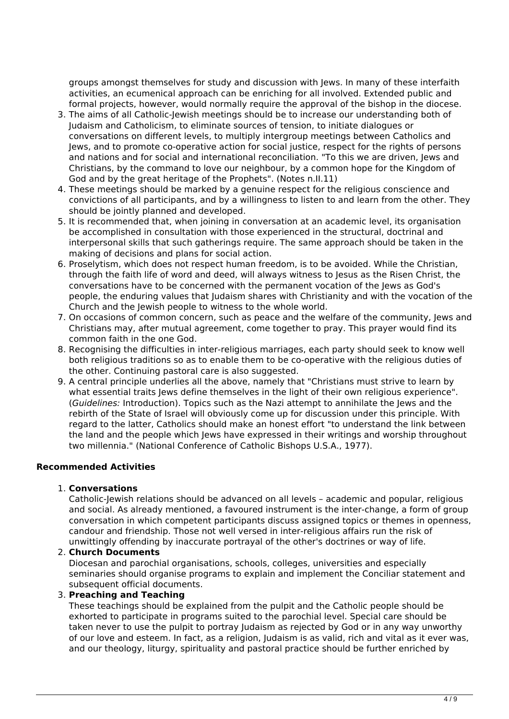groups amongst themselves for study and discussion with Jews. In many of these interfaith activities, an ecumenical approach can be enriching for all involved. Extended public and formal projects, however, would normally require the approval of the bishop in the diocese.

- 3. The aims of all Catholic-Jewish meetings should be to increase our understanding both of Judaism and Catholicism, to eliminate sources of tension, to initiate dialogues or conversations on different levels, to multiply intergroup meetings between Catholics and Jews, and to promote co-operative action for social justice, respect for the rights of persons and nations and for social and international reconciliation. "To this we are driven, Jews and Christians, by the command to love our neighbour, by a common hope for the Kingdom of God and by the great heritage of the Prophets". (Notes n.II.11)
- 4. These meetings should be marked by a genuine respect for the religious conscience and convictions of all participants, and by a willingness to listen to and learn from the other. They should be jointly planned and developed.
- 5. It is recommended that, when joining in conversation at an academic level, its organisation be accomplished in consultation with those experienced in the structural, doctrinal and interpersonal skills that such gatherings require. The same approach should be taken in the making of decisions and plans for social action.
- 6. Proselytism, which does not respect human freedom, is to be avoided. While the Christian, through the faith life of word and deed, will always witness to Jesus as the Risen Christ, the conversations have to be concerned with the permanent vocation of the Jews as God's people, the enduring values that Judaism shares with Christianity and with the vocation of the Church and the Jewish people to witness to the whole world.
- 7. On occasions of common concern, such as peace and the welfare of the community, Jews and Christians may, after mutual agreement, come together to pray. This prayer would find its common faith in the one God.
- 8. Recognising the difficulties in inter-religious marriages, each party should seek to know well both religious traditions so as to enable them to be co-operative with the religious duties of the other. Continuing pastoral care is also suggested.
- 9. A central principle underlies all the above, namely that "Christians must strive to learn by what essential traits Jews define themselves in the light of their own religious experience". (*Guidelines:* Introduction). Topics such as the Nazi attempt to annihilate the Jews and the rebirth of the State of Israel will obviously come up for discussion under this principle. With regard to the latter, Catholics should make an honest effort "to understand the link between the land and the people which Jews have expressed in their writings and worship throughout two millennia." (National Conference of Catholic Bishops U.S.A., 1977).

# **Recommended Activities**

# 1. **Conversations**

Catholic-Jewish relations should be advanced on all levels – academic and popular, religious and social. As already mentioned, a favoured instrument is the inter-change, a form of group conversation in which competent participants discuss assigned topics or themes in openness, candour and friendship. Those not well versed in inter-religious affairs run the risk of unwittingly offending by inaccurate portrayal of the other's doctrines or way of life.

# 2. **Church Documents**

Diocesan and parochial organisations, schools, colleges, universities and especially seminaries should organise programs to explain and implement the Conciliar statement and subsequent official documents.

# 3. **Preaching and Teaching**

These teachings should be explained from the pulpit and the Catholic people should be exhorted to participate in programs suited to the parochial level. Special care should be taken never to use the pulpit to portray Judaism as rejected by God or in any way unworthy of our love and esteem. In fact, as a religion, Judaism is as valid, rich and vital as it ever was, and our theology, liturgy, spirituality and pastoral practice should be further enriched by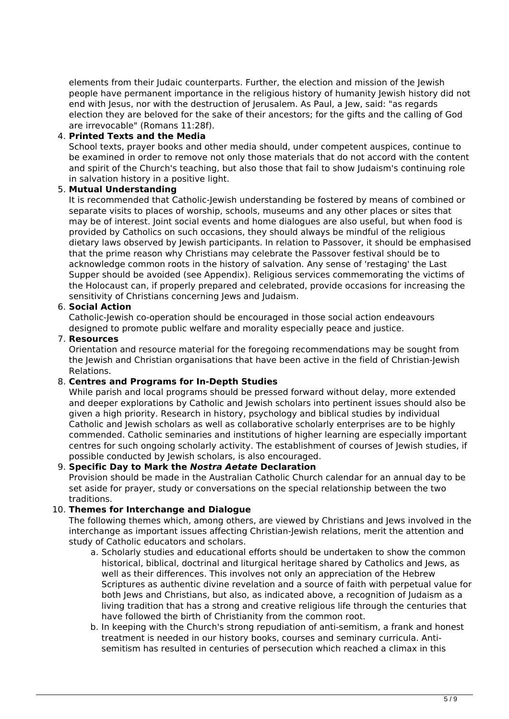elements from their Judaic counterparts. Further, the election and mission of the Jewish people have permanent importance in the religious history of humanity Jewish history did not end with Jesus, nor with the destruction of Jerusalem. As Paul, a Jew, said: "as regards election they are beloved for the sake of their ancestors; for the gifts and the calling of God are irrevocable" (Romans 11:28f).

# 4. **Printed Texts and the Media**

School texts, prayer books and other media should, under competent auspices, continue to be examined in order to remove not only those materials that do not accord with the content and spirit of the Church's teaching, but also those that fail to show Judaism's continuing role in salvation history in a positive light.

# 5. **Mutual Understanding**

It is recommended that Catholic-Jewish understanding be fostered by means of combined or separate visits to places of worship, schools, museums and any other places or sites that may be of interest. Joint social events and home dialogues are also useful, but when food is provided by Catholics on such occasions, they should always be mindful of the religious dietary laws observed by Jewish participants. In relation to Passover, it should be emphasised that the prime reason why Christians may celebrate the Passover festival should be to acknowledge common roots in the history of salvation. Any sense of 'restaging' the Last Supper should be avoided (see Appendix). Religious services commemorating the victims of the Holocaust can, if properly prepared and celebrated, provide occasions for increasing the sensitivity of Christians concerning Jews and Judaism.

# 6. **Social Action**

Catholic-Jewish co-operation should be encouraged in those social action endeavours designed to promote public welfare and morality especially peace and justice.

# 7. **Resources**

Orientation and resource material for the foregoing recommendations may be sought from the Jewish and Christian organisations that have been active in the field of Christian-Jewish Relations.

# 8. **Centres and Programs for In-Depth Studies**

While parish and local programs should be pressed forward without delay, more extended and deeper explorations by Catholic and Jewish scholars into pertinent issues should also be given a high priority. Research in history, psychology and biblical studies by individual Catholic and Jewish scholars as well as collaborative scholarly enterprises are to be highly commended. Catholic seminaries and institutions of higher learning are especially important centres for such ongoing scholarly activity. The establishment of courses of Jewish studies, if possible conducted by Jewish scholars, is also encouraged.

# 9. **Specific Day to Mark the** *Nostra Aetate* **Declaration**

Provision should be made in the Australian Catholic Church calendar for an annual day to be set aside for prayer, study or conversations on the special relationship between the two traditions.

# 10. **Themes for Interchange and Dialogue**

The following themes which, among others, are viewed by Christians and Jews involved in the interchange as important issues affecting Christian-Jewish relations, merit the attention and study of Catholic educators and scholars.

- a. Scholarly studies and educational efforts should be undertaken to show the common historical, biblical, doctrinal and liturgical heritage shared by Catholics and Jews, as well as their differences. This involves not only an appreciation of the Hebrew Scriptures as authentic divine revelation and a source of faith with perpetual value for both Jews and Christians, but also, as indicated above, a recognition of Judaism as a living tradition that has a strong and creative religious life through the centuries that have followed the birth of Christianity from the common root.
- b. In keeping with the Church's strong repudiation of anti-semitism, a frank and honest treatment is needed in our history books, courses and seminary curricula. Antisemitism has resulted in centuries of persecution which reached a climax in this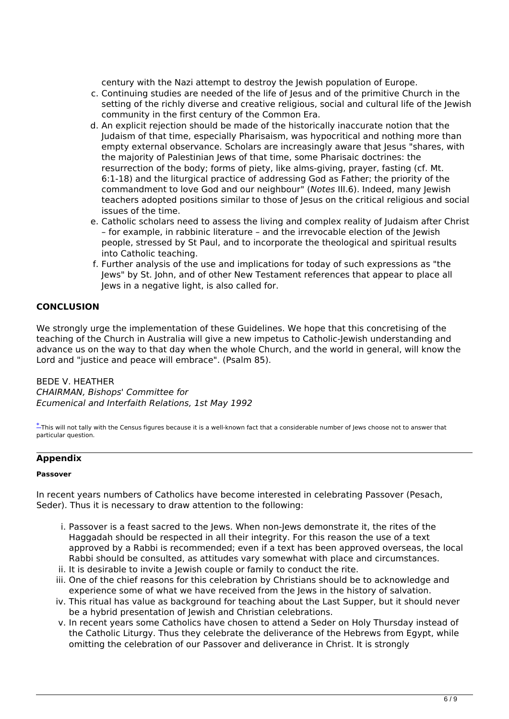century with the Nazi attempt to destroy the Jewish population of Europe.

- c. Continuing studies are needed of the life of Jesus and of the primitive Church in the setting of the richly diverse and creative religious, social and cultural life of the Jewish community in the first century of the Common Era.
- d. An explicit rejection should be made of the historically inaccurate notion that the Judaism of that time, especially Pharisaism, was hypocritical and nothing more than empty external observance. Scholars are increasingly aware that Jesus "shares, with the majority of Palestinian Jews of that time, some Pharisaic doctrines: the resurrection of the body; forms of piety, like alms-giving, prayer, fasting (cf. Mt. 6:1-18) and the liturgical practice of addressing God as Father; the priority of the commandment to love God and our neighbour" (*Notes* III.6). Indeed, many Jewish teachers adopted positions similar to those of Jesus on the critical religious and social issues of the time.
- e. Catholic scholars need to assess the living and complex reality of Judaism after Christ – for example, in rabbinic literature – and the irrevocable election of the Jewish people, stressed by St Paul, and to incorporate the theological and spiritual results into Catholic teaching.
- f. Further analysis of the use and implications for today of such expressions as "the Jews" by St. John, and of other New Testament references that appear to place all Jews in a negative light, is also called for.

# **CONCLUSION**

We strongly urge the implementation of these Guidelines. We hope that this concretising of the teaching of the Church in Australia will give a new impetus to Catholic-Jewish understanding and advance us on the way to that day when the whole Church, and the world in general, will know the Lord and "justice and peace will embrace". (Psalm 85).

BEDE V. HEATHER *CHAIRMAN, Bishops' Committee for Ecumenical and Interfaith Relations, 1st May 1992*

 $*$ This will not tally with the Census figures because it is a well-known fact that a considerable number of Jews choose not to answer that particular question.

# **Appendix**

#### **Passover**

In recent years numbers of Catholics have become interested in celebrating Passover (Pesach, Seder). Thus it is necessary to draw attention to the following:

- i. Passover is a feast sacred to the Jews. When non-Jews demonstrate it, the rites of the Haggadah should be respected in all their integrity. For this reason the use of a text approved by a Rabbi is recommended; even if a text has been approved overseas, the local Rabbi should be consulted, as attitudes vary somewhat with place and circumstances.
- ii. It is desirable to invite a Jewish couple or family to conduct the rite.
- iii. One of the chief reasons for this celebration by Christians should be to acknowledge and experience some of what we have received from the Jews in the history of salvation.
- iv. This ritual has value as background for teaching about the Last Supper, but it should never be a hybrid presentation of Jewish and Christian celebrations.
- v. In recent years some Catholics have chosen to attend a Seder on Holy Thursday instead of the Catholic Liturgy. Thus they celebrate the deliverance of the Hebrews from Egypt, while omitting the celebration of our Passover and deliverance in Christ. It is strongly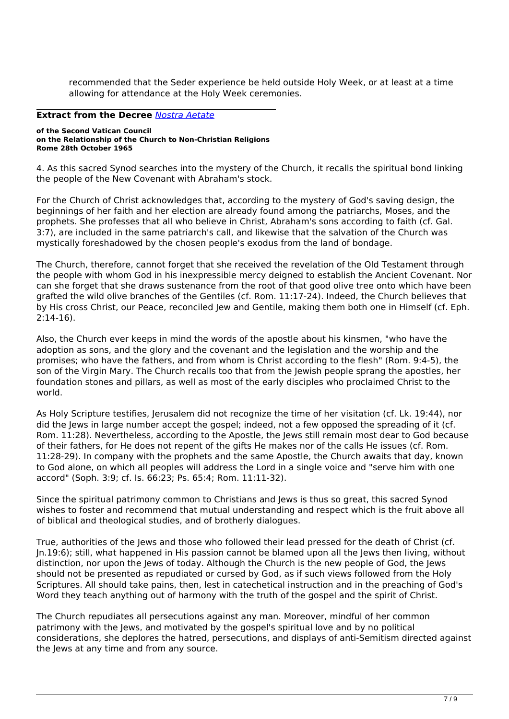recommended that the Seder experience be held outside Holy Week, or at least at a time allowing for attendance at the Holy Week ceremonies.

#### **Extract from the Decree** *Nostra Aetate*

#### **of the Second Vatican Council on the Relationship of the Church to Non-Christian Religions Rome 28th October 1965**

4. As this sacred Synod searches into the mystery of the Church, it recalls the spiritual bond linking the people of the New Covenant with Abraham's stock.

For the Church of Christ acknowledges that, according to the mystery of God's saving design, the beginnings of her faith and her election are already found among the patriarchs, Moses, and the prophets. She professes that all who believe in Christ, Abraham's sons according to faith (cf. Gal. 3:7), are included in the same patriarch's call, and likewise that the salvation of the Church was mystically foreshadowed by the chosen people's exodus from the land of bondage.

The Church, therefore, cannot forget that she received the revelation of the Old Testament through the people with whom God in his inexpressible mercy deigned to establish the Ancient Covenant. Nor can she forget that she draws sustenance from the root of that good olive tree onto which have been grafted the wild olive branches of the Gentiles (cf. Rom. 11:17-24). Indeed, the Church believes that by His cross Christ, our Peace, reconciled Jew and Gentile, making them both one in Himself (cf. Eph. 2:14-16).

Also, the Church ever keeps in mind the words of the apostle about his kinsmen, "who have the adoption as sons, and the glory and the covenant and the legislation and the worship and the promises; who have the fathers, and from whom is Christ according to the flesh" (Rom. 9:4-5), the son of the Virgin Mary. The Church recalls too that from the Jewish people sprang the apostles, her foundation stones and pillars, as well as most of the early disciples who proclaimed Christ to the world.

As Holy Scripture testifies, Jerusalem did not recognize the time of her visitation (cf. Lk. 19:44), nor did the Jews in large number accept the gospel; indeed, not a few opposed the spreading of it (cf. Rom. 11:28). Nevertheless, according to the Apostle, the Jews still remain most dear to God because of their fathers, for He does not repent of the gifts He makes nor of the calls He issues (cf. Rom. 11:28-29). In company with the prophets and the same Apostle, the Church awaits that day, known to God alone, on which all peoples will address the Lord in a single voice and "serve him with one accord" (Soph. 3:9; cf. Is. 66:23; Ps. 65:4; Rom. 11:11-32).

Since the spiritual patrimony common to Christians and Jews is thus so great, this sacred Synod wishes to foster and recommend that mutual understanding and respect which is the fruit above all of biblical and theological studies, and of brotherly dialogues.

True, authorities of the Jews and those who followed their lead pressed for the death of Christ (cf. Jn.19:6); still, what happened in His passion cannot be blamed upon all the Jews then living, without distinction, nor upon the Jews of today. Although the Church is the new people of God, the Jews should not be presented as repudiated or cursed by God, as if such views followed from the Holy Scriptures. All should take pains, then, lest in catechetical instruction and in the preaching of God's Word they teach anything out of harmony with the truth of the gospel and the spirit of Christ.

The Church repudiates all persecutions against any man. Moreover, mindful of her common patrimony with the Jews, and motivated by the gospel's spiritual love and by no political considerations, she deplores the hatred, persecutions, and displays of anti-Semitism directed against the Jews at any time and from any source.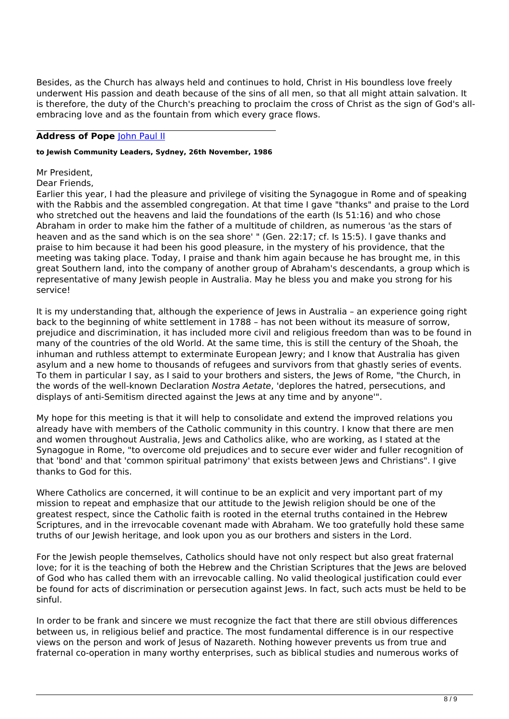Besides, as the Church has always held and continues to hold, Christ in His boundless love freely underwent His passion and death because of the sins of all men, so that all might attain salvation. It is therefore, the duty of the Church's preaching to proclaim the cross of Christ as the sign of God's allembracing love and as the fountain from which every grace flows.

# **Address of Pope** John Paul II

#### **to Jewish Community Leaders, Sydney, 26th November, 1986**

Mr President,

Dear Friends,

Earlier this year, I had the pleasure and privilege of visiting the Synagogue in Rome and of speaking with the Rabbis and the assembled congregation. At that time I gave "thanks" and praise to the Lord who stretched out the heavens and laid the foundations of the earth (Is 51:16) and who chose Abraham in order to make him the father of a multitude of children, as numerous 'as the stars of heaven and as the sand which is on the sea shore' " (Gen. 22:17; cf. Is 15:5). I gave thanks and praise to him because it had been his good pleasure, in the mystery of his providence, that the meeting was taking place. Today, I praise and thank him again because he has brought me, in this great Southern land, into the company of another group of Abraham's descendants, a group which is representative of many Jewish people in Australia. May he bless you and make you strong for his service!

It is my understanding that, although the experience of Jews in Australia – an experience going right back to the beginning of white settlement in 1788 – has not been without its measure of sorrow, prejudice and discrimination, it has included more civil and religious freedom than was to be found in many of the countries of the old World. At the same time, this is still the century of the Shoah, the inhuman and ruthless attempt to exterminate European Jewry; and I know that Australia has given asylum and a new home to thousands of refugees and survivors from that ghastly series of events. To them in particular I say, as I said to your brothers and sisters, the Jews of Rome, "the Church, in the words of the well-known Declaration *Nostra Aetate*, 'deplores the hatred, persecutions, and displays of anti-Semitism directed against the Jews at any time and by anyone'".

My hope for this meeting is that it will help to consolidate and extend the improved relations you already have with members of the Catholic community in this country. I know that there are men and women throughout Australia, Jews and Catholics alike, who are working, as I stated at the Synagogue in Rome, "to overcome old prejudices and to secure ever wider and fuller recognition of that 'bond' and that 'common spiritual patrimony' that exists between Jews and Christians". I give thanks to God for this.

Where Catholics are concerned, it will continue to be an explicit and very important part of my mission to repeat and emphasize that our attitude to the Jewish religion should be one of the greatest respect, since the Catholic faith is rooted in the eternal truths contained in the Hebrew Scriptures, and in the irrevocable covenant made with Abraham. We too gratefully hold these same truths of our Jewish heritage, and look upon you as our brothers and sisters in the Lord.

For the Jewish people themselves, Catholics should have not only respect but also great fraternal love; for it is the teaching of both the Hebrew and the Christian Scriptures that the Jews are beloved of God who has called them with an irrevocable calling. No valid theological justification could ever be found for acts of discrimination or persecution against Jews. In fact, such acts must be held to be sinful.

In order to be frank and sincere we must recognize the fact that there are still obvious differences between us, in religious belief and practice. The most fundamental difference is in our respective views on the person and work of Jesus of Nazareth. Nothing however prevents us from true and fraternal co-operation in many worthy enterprises, such as biblical studies and numerous works of